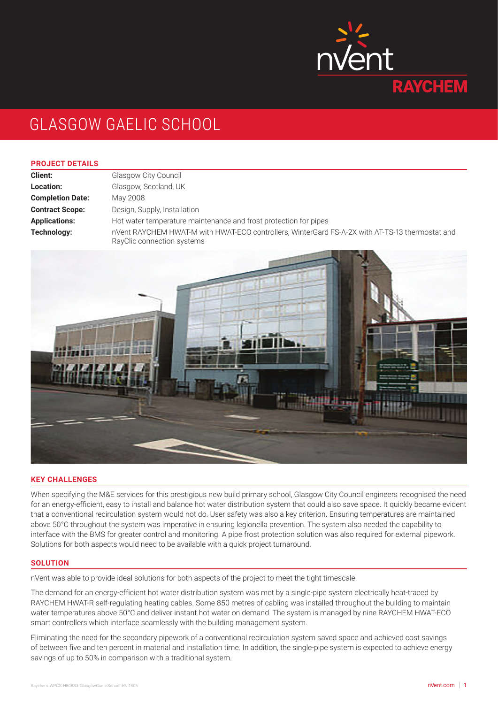

# GLASGOW GAELIC SCHOOL

#### **PROJECT DETAILS**

**Client:** Glasgow City Council **Location:** Glasgow, Scotland, UK **Completion Date:** May 2008 **Contract Scope:** Design, Supply, Installation **Applications:** Hot water temperature maintenance and frost protection for pipes **Technology:** nVent RAYCHEM HWAT-M with HWAT-ECO controllers, WinterGard FS-A-2X with AT-TS-13 thermostat and RayClic connection systems



### **KEY CHALLENGES**

When specifying the M&E services for this prestigious new build primary school, Glasgow City Council engineers recognised the need for an energy-efficient, easy to install and balance hot water distribution system that could also save space. It quickly became evident that a conventional recirculation system would not do. User safety was also a key criterion. Ensuring temperatures are maintained above 50°C throughout the system was imperative in ensuring legionella prevention. The system also needed the capability to interface with the BMS for greater control and monitoring. A pipe frost protection solution was also required for external pipework. Solutions for both aspects would need to be available with a quick project turnaround.

#### **SOLUTION**

nVent was able to provide ideal solutions for both aspects of the project to meet the tight timescale.

The demand for an energy-efficient hot water distribution system was met by a single-pipe system electrically heat-traced by RAYCHEM HWAT-R self-regulating heating cables. Some 850 metres of cabling was installed throughout the building to maintain water temperatures above 50°C and deliver instant hot water on demand. The system is managed by nine RAYCHEM HWAT-ECO smart controllers which interface seamlessly with the building management system.

Eliminating the need for the secondary pipework of a conventional recirculation system saved space and achieved cost savings of between five and ten percent in material and installation time. In addition, the single-pipe system is expected to achieve energy savings of up to 50% in comparison with a traditional system.